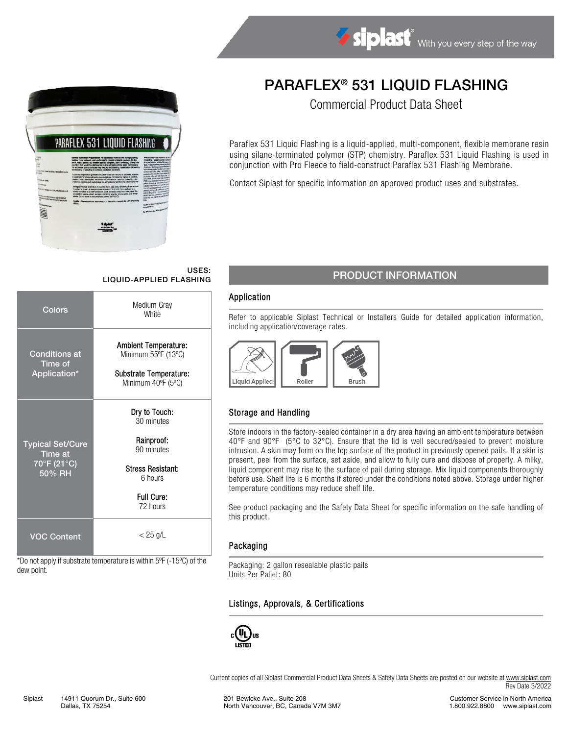

# PARAFLEX® 531 LIQUID FLASHING

Commercial Product Data Sheet

Paraflex 531 Liquid Flashing is a liquid-applied, multi-component, flexible membrane resin using silane-terminated polymer (STP) chemistry. Paraflex 531 Liquid Flashing is used in conjunction with Pro Fleece to field-construct Paraflex 531 Flashing Membrane.

Contact Siplast for specific information on approved product uses and substrates.

# USES:

| Colors                                                      | Medium Gray<br><b>White</b>                                                                                              |
|-------------------------------------------------------------|--------------------------------------------------------------------------------------------------------------------------|
| <b>Conditions at</b><br><b>Time of</b><br>Application*      | <b>Ambient Temperature:</b><br>Minimum 55°F (13°C)<br>Substrate Temperature:<br>Minimum 40°F (5°C)                       |
| <b>Typical Set/Cure</b><br>Time at<br>70°F (21°C)<br>50% RH | Dry to Touch:<br>30 minutes<br>Rainproof:<br>90 minutes<br><b>Stress Resistant:</b><br>6 hours<br>Full Cure:<br>72 hours |
| <b>VOC Content</b>                                          | $<$ 25 g/L                                                                                                               |

\*Do not apply if substrate temperature is within 5ºF (-15ºC) of the dew point.

### USES:<br>LIQUID-APPLIED FLASHING PRODUCT INFORMATION

#### Application

Refer to applicable Siplast Technical or Installers Guide for detailed application information, including application/coverage rates.



#### Storage and Handling

Store indoors in the factory-sealed container in a dry area having an ambient temperature between 40°F and 90°F (5°C to 32°C). Ensure that the lid is well secured/sealed to prevent moisture intrusion. A skin may form on the top surface of the product in previously opened pails. If a skin is present, peel from the surface, set aside, and allow to fully cure and dispose of properly. A milky, liquid component may rise to the surface of pail during storage. Mix liquid components thoroughly before use. Shelf life is 6 months if stored under the conditions noted above. Storage under higher temperature conditions may reduce shelf life.

See product packaging and the Safety Data Sheet for specific information on the safe handling of this product.

#### Packaging

Packaging: 2 gallon resealable plastic pails Units Per Pallet: 80

#### Listings, Approvals, & Certifications



Current copies of all Siplast Commercial Product Data Sheets & Safety Data Sheets are posted on our website a[t www.siplast.com](http://www.siplast.com/) Rev Date 3/2022